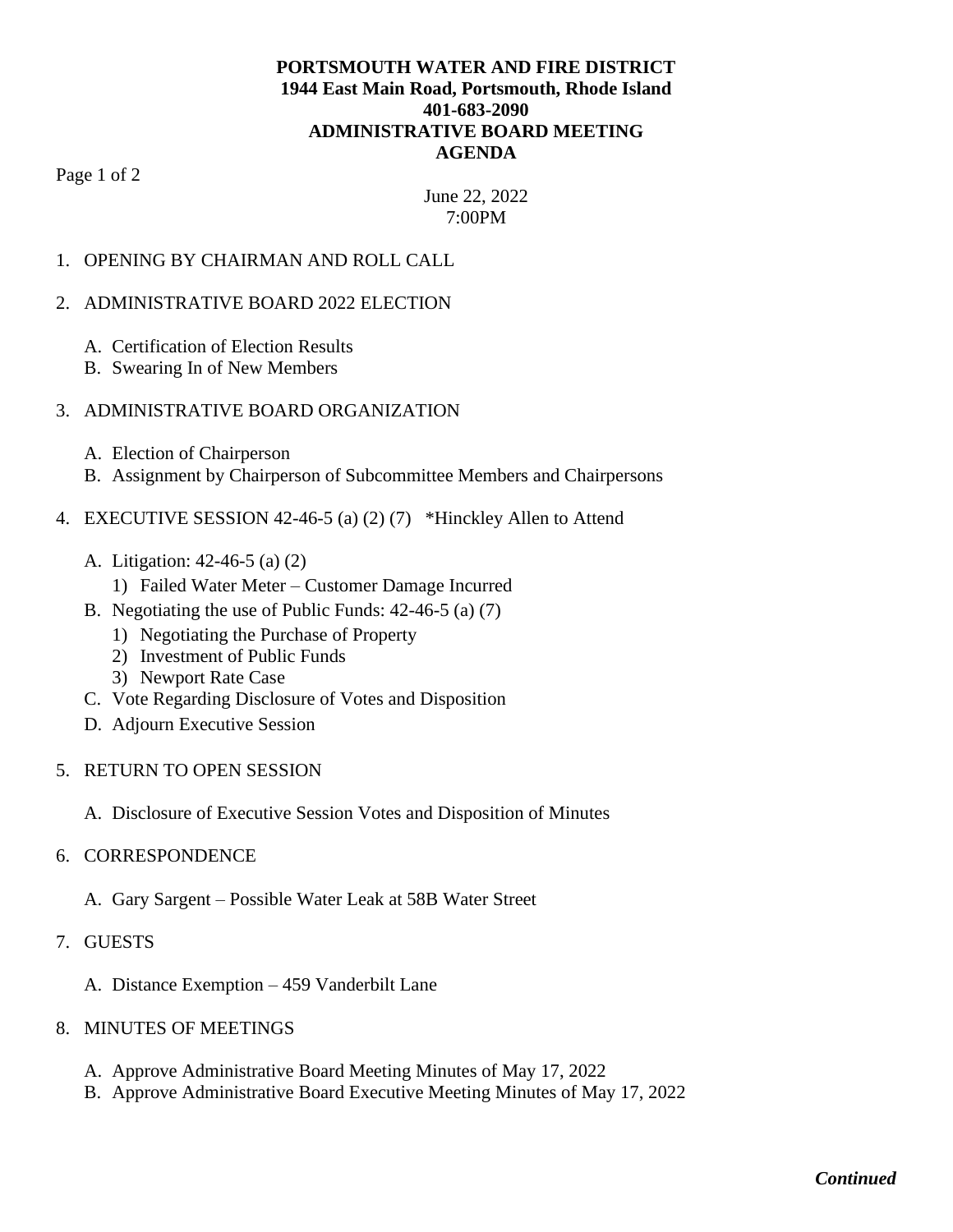## **PORTSMOUTH WATER AND FIRE DISTRICT 1944 East Main Road, Portsmouth, Rhode Island 401-683-2090 ADMINISTRATIVE BOARD MEETING AGENDA**

Page 1 of 2

June 22, 2022 7:00PM

## 1. OPENING BY CHAIRMAN AND ROLL CALL

#### 2. ADMINISTRATIVE BOARD 2022 ELECTION

- A. Certification of Election Results
- B. Swearing In of New Members

### 3. ADMINISTRATIVE BOARD ORGANIZATION

- A. Election of Chairperson
- B. Assignment by Chairperson of Subcommittee Members and Chairpersons

## 4. EXECUTIVE SESSION 42-46-5 (a) (2) (7) \*Hinckley Allen to Attend

- A. Litigation: 42-46-5 (a) (2)
	- 1) Failed Water Meter Customer Damage Incurred
- B. Negotiating the use of Public Funds: 42-46-5 (a) (7)
	- 1) Negotiating the Purchase of Property
	- 2) Investment of Public Funds
	- 3) Newport Rate Case
- C. Vote Regarding Disclosure of Votes and Disposition
- D. Adjourn Executive Session

#### 5. RETURN TO OPEN SESSION

A. Disclosure of Executive Session Votes and Disposition of Minutes

#### 6. CORRESPONDENCE

- A. Gary Sargent Possible Water Leak at 58B Water Street
- 7. GUESTS
	- A. Distance Exemption 459 Vanderbilt Lane
- 8. MINUTES OF MEETINGS
	- A. Approve Administrative Board Meeting Minutes of May 17, 2022
	- B. Approve Administrative Board Executive Meeting Minutes of May 17, 2022